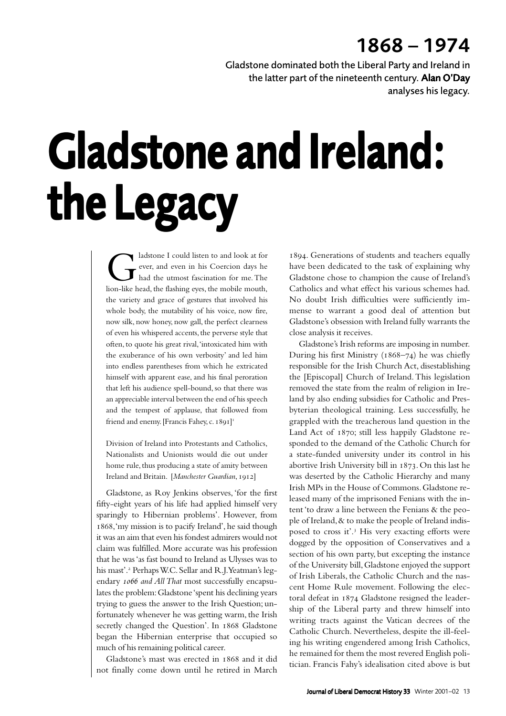## 1868 – 1974

Gladstone dominated both the Liberal Party and Ireland in the latter part of the nineteenth century. Alan O'Day analyses his legacy.

## Gladstone and Ireland: the Legacy

adstone I could listen to and look at for<br>ever, and even in his Coercion days he<br>had the utmost fascination for me. The<br>lion-like head, the flashing eves, the mobile mouth. ever, and even in his Coercion days he had the utmost fascination for me. The lion-like head, the flashing eyes, the mobile mouth, the variety and grace of gestures that involved his whole body, the mutability of his voice, now fire, now silk, now honey, now gall, the perfect clearness of even his whispered accents, the perverse style that often, to quote his great rival, 'intoxicated him with the exuberance of his own verbosity' and led him into endless parentheses from which he extricated himself with apparent ease, and his final peroration that left his audience spell-bound, so that there was an appreciable interval between the end of his speech and the tempest of applause, that followed from friend and enemy. [Francis Fahey, c. 1891]<sup>1</sup>

Division of Ireland into Protestants and Catholics, Nationalists and Unionists would die out under home rule, thus producing a state of amity between Ireland and Britain. [Manchester Guardian, 1912]

Gladstone, as Roy Jenkins observes, 'for the first fifty-eight years of his life had applied himself very sparingly to Hibernian problems'. However, from 1868, 'my mission is to pacify Ireland', he said though it was an aim that even his fondest admirers would not claim was fulfilled. More accurate was his profession that he was 'as fast bound to Ireland as Ulysses was to his mast'.<sup>2</sup> Perhaps W.C. Sellar and R.J. Yeatman's legendary 1066 and All That most successfully encapsulates the problem: Gladstone 'spent his declining years trying to guess the answer to the Irish Question; unfortunately whenever he was getting warm, the Irish secretly changed the Question'. In 1868 Gladstone began the Hibernian enterprise that occupied so much of his remaining political career.

Gladstone's mast was erected in 1868 and it did not finally come down until he retired in March

. Generations of students and teachers equally have been dedicated to the task of explaining why Gladstone chose to champion the cause of Ireland's Catholics and what effect his various schemes had. No doubt Irish difficulties were sufficiently immense to warrant a good deal of attention but Gladstone's obsession with Ireland fully warrants the close analysis it receives.

Gladstone's Irish reforms are imposing in number. During his first Ministry ( $1868-74$ ) he was chiefly responsible for the Irish Church Act, disestablishing the [Episcopal] Church of Ireland. This legislation removed the state from the realm of religion in Ireland by also ending subsidies for Catholic and Presbyterian theological training. Less successfully, he grappled with the treacherous land question in the Land Act of 1870; still less happily Gladstone responded to the demand of the Catholic Church for a state-funded university under its control in his abortive Irish University bill in 1873. On this last he was deserted by the Catholic Hierarchy and many Irish MPs in the House of Commons. Gladstone released many of the imprisoned Fenians with the intent 'to draw a line between the Fenians & the people of Ireland, & to make the people of Ireland indisposed to cross it'.<sup>3</sup> His very exacting efforts were dogged by the opposition of Conservatives and a section of his own party, but excepting the instance of the University bill, Gladstone enjoyed the support of Irish Liberals, the Catholic Church and the nascent Home Rule movement. Following the electoral defeat in 1874 Gladstone resigned the leadership of the Liberal party and threw himself into writing tracts against the Vatican decrees of the Catholic Church. Nevertheless, despite the ill-feeling his writing engendered among Irish Catholics, he remained for them the most revered English politician. Francis Fahy's idealisation cited above is but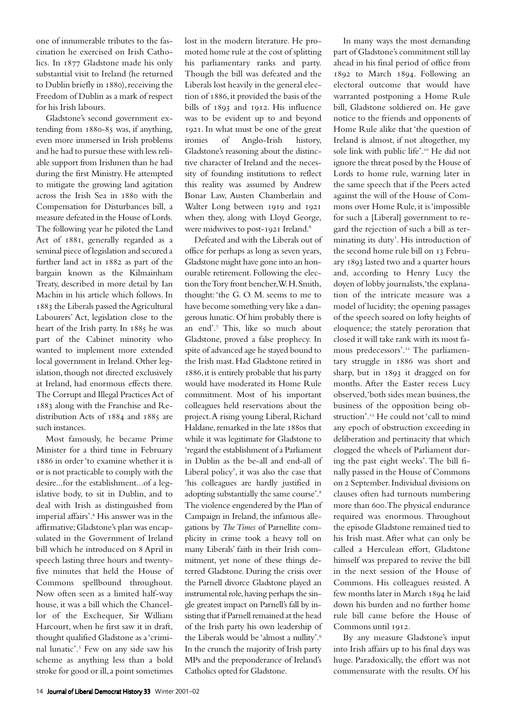one of innumerable tributes to the fascination he exercised on Irish Catholics. In 1877 Gladstone made his only substantial visit to Ireland (he returned to Dublin briefly in 1880), receiving the Freedom of Dublin as a mark of respect for his Irish labours.

Gladstone's second government extending from  $1880-85$  was, if anything, even more immersed in Irish problems and he had to pursue these with less reliable support from Irishmen than he had during the first Ministry. He attempted to mitigate the growing land agitation across the Irish Sea in 1880 with the Compensation for Disturbances bill, a measure defeated in the House of Lords. The following year he piloted the Land Act of  $1881$ , generally regarded as a seminal piece of legislation and secured a further land act in 1882 as part of the bargain known as the Kilmainham Treaty, described in more detail by Ian Machin in his article which follows. In 1883 the Liberals passed the Agricultural Labourers' Act, legislation close to the heart of the Irish party. In 1885 he was part of the Cabinet minority who wanted to implement more extended local government in Ireland. Other legislation, though not directed exclusively at Ireland, had enormous effects there. The Corrupt and Illegal Practices Act of 1883 along with the Franchise and Redistribution Acts of 1884 and 1885 are such instances.

Most famously, he became Prime Minister for a third time in February 1886 in order 'to examine whether it is or is not practicable to comply with the desire...for the establishment...of a legislative body, to sit in Dublin, and to deal with Irish as distinguished from imperial affairs'.<sup>4</sup> His answer was in the affirmative; Gladstone's plan was encapsulated in the Government of Ireland bill which he introduced on 8 April in speech lasting three hours and twentyfive minutes that held the House of Commons spellbound throughout. Now often seen as a limited half-way house, it was a bill which the Chancellor of the Exchequer, Sir William Harcourt, when he first saw it in draft, thought qualified Gladstone as a 'criminal lunatic'.<sup>5</sup> Few on any side saw his scheme as anything less than a bold stroke for good or ill, a point sometimes

lost in the modern literature. He promoted home rule at the cost of splitting his parliamentary ranks and party. Though the bill was defeated and the Liberals lost heavily in the general election of 1886, it provided the basis of the bills of 1893 and 1912. His influence was to be evident up to and beyond . In what must be one of the great ironies of Anglo-Irish history, Gladstone's reasoning about the distinctive character of Ireland and the necessity of founding institutions to reflect this reality was assumed by Andrew Bonar Law, Austen Chamberlain and Walter Long between 1919 and 1921 when they, along with Lloyd George, were midwives to post-1921 Ireland.<sup>6</sup>

Defeated and with the Liberals out of office for perhaps as long as seven years, Gladstone might have gone into an honourable retirement. Following the election the Tory front bencher, W. H. Smith, thought: 'the G. O. M. seems to me to have become something very like a dangerous lunatic. Of him probably there is an end'.7 This, like so much about Gladstone, proved a false prophecy. In spite of advanced age he stayed bound to the Irish mast. Had Gladstone retired in , it is entirely probable that his party would have moderated its Home Rule commitment. Most of his important colleagues held reservations about the project. A rising young Liberal, Richard Haldane, remarked in the late 1880s that while it was legitimate for Gladstone to 'regard the establishment of a Parliament in Dublin as the be-all and end-all of Liberal policy', it was also the case that 'his colleagues are hardly justified in adopting substantially the same course'. The violence engendered by the Plan of Campaign in Ireland, the infamous allegations by *The Times* of Parnellite complicity in crime took a heavy toll on many Liberals' faith in their Irish commitment, yet none of these things deterred Gladstone. During the crisis over the Parnell divorce Gladstone played an instrumental role, having perhaps the single greatest impact on Parnell's fall by insisting that if Parnell remained at the head of the Irish party his own leadership of the Liberals would be 'almost a nullity'. In the crunch the majority of Irish party MPs and the preponderance of Ireland's Catholics opted for Gladstone.

In many ways the most demanding part of Gladstone's commitment still lay ahead in his final period of office from 1892 to March 1894. Following an electoral outcome that would have warranted postponing a Home Rule bill, Gladstone soldiered on. He gave notice to the friends and opponents of Home Rule alike that 'the question of Ireland is almost, if not altogether, my sole link with public life'.<sup>10</sup> He did not ignore the threat posed by the House of Lords to home rule, warning later in the same speech that if the Peers acted against the will of the House of Commons over Home Rule, it is 'impossible for such a [Liberal] government to regard the rejection of such a bill as terminating its duty'. His introduction of the second home rule bill on 13 February 1893 lasted two and a quarter hours and, according to Henry Lucy the doyen of lobby journalists, 'the explanation of the intricate measure was a model of lucidity; the opening passages of the speech soared on lofty heights of eloquence; the stately peroration that closed it will take rank with its most famous predecessors'.<sup>11</sup> The parliamentary struggle in 1886 was short and sharp, but in 1893 it dragged on for months. After the Easter recess Lucy observed, 'both sides mean business, the business of the opposition being obstruction'.<sup>12</sup> He could not 'call to mind any epoch of obstruction exceeding in deliberation and pertinacity that which clogged the wheels of Parliament during the past eight weeks'. The bill finally passed in the House of Commons on 2 September. Individual divisions on clauses often had turnouts numbering more than 600. The physical endurance required was enormous. Throughout the episode Gladstone remained tied to his Irish mast. After what can only be called a Herculean effort, Gladstone himself was prepared to revive the bill in the next session of the House of Commons. His colleagues resisted. A few months later in March 1894 he laid down his burden and no further home rule bill came before the House of Commons until 1912.

By any measure Gladstone's input into Irish affairs up to his final days was huge. Paradoxically, the effort was not commensurate with the results. Of his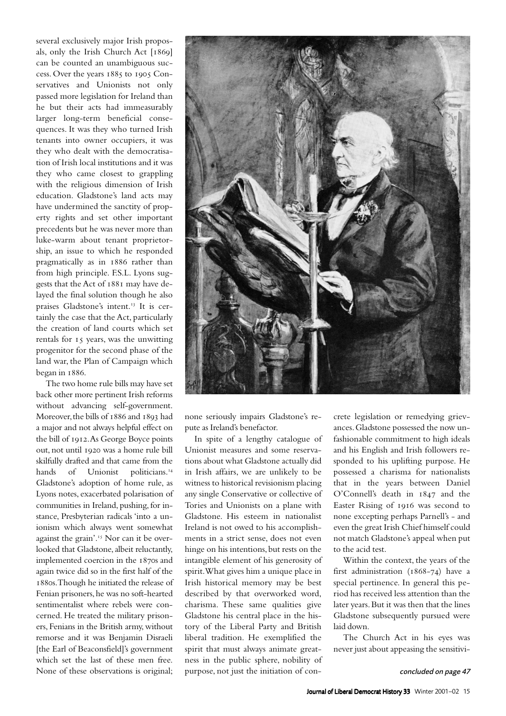several exclusively major Irish proposals, only the Irish Church Act  $[1869]$ can be counted an unambiguous success. Over the years 1885 to 1905 Conservatives and Unionists not only passed more legislation for Ireland than he but their acts had immeasurably larger long-term beneficial consequences. It was they who turned Irish tenants into owner occupiers, it was they who dealt with the democratisation of Irish local institutions and it was they who came closest to grappling with the religious dimension of Irish education. Gladstone's land acts may have undermined the sanctity of property rights and set other important precedents but he was never more than luke-warm about tenant proprietorship, an issue to which he responded pragmatically as in 1886 rather than from high principle. F.S.L. Lyons suggests that the Act of 1881 may have delayed the final solution though he also praises Gladstone's intent.<sup>13</sup> It is certainly the case that the Act, particularly the creation of land courts which set rentals for 15 years, was the unwitting progenitor for the second phase of the land war, the Plan of Campaign which began in 1886.

The two home rule bills may have set back other more pertinent Irish reforms without advancing self-government. Moreover, the bills of 1886 and 1893 had a major and not always helpful effect on the bill of 1912. As George Boyce points out, not until 1920 was a home rule bill skilfully drafted and that came from the hands of Unionist politicians.<sup>14</sup> Gladstone's adoption of home rule, as Lyons notes, exacerbated polarisation of communities in Ireland, pushing, for instance, Presbyterian radicals 'into a unionism which always went somewhat against the grain'.<sup>15</sup> Nor can it be overlooked that Gladstone, albeit reluctantly, implemented coercion in the 1870s and again twice did so in the first half of the 1880s. Though he initiated the release of Fenian prisoners, he was no soft-hearted sentimentalist where rebels were concerned. He treated the military prisoners, Fenians in the British army, without remorse and it was Benjamin Disraeli [the Earl of Beaconsfield]'s government which set the last of these men free. None of these observations is original;



none seriously impairs Gladstone's repute as Ireland's benefactor.

In spite of a lengthy catalogue of Unionist measures and some reservations about what Gladstone actually did in Irish affairs, we are unlikely to be witness to historical revisionism placing any single Conservative or collective of Tories and Unionists on a plane with Gladstone. His esteem in nationalist Ireland is not owed to his accomplishments in a strict sense, does not even hinge on his intentions, but rests on the intangible element of his generosity of spirit. What gives him a unique place in Irish historical memory may be best described by that overworked word, charisma. These same qualities give Gladstone his central place in the history of the Liberal Party and British liberal tradition. He exemplified the spirit that must always animate greatness in the public sphere, nobility of purpose, not just the initiation of concrete legislation or remedying grievances. Gladstone possessed the now unfashionable commitment to high ideals and his English and Irish followers responded to his uplifting purpose. He possessed a charisma for nationalists that in the years between Daniel O'Connell's death in  $1847$  and the Easter Rising of 1916 was second to none excepting perhaps Parnell's - and even the great Irish Chief himself could not match Gladstone's appeal when put to the acid test.

Within the context, the years of the first administration  $(1868-74)$  have a special pertinence. In general this period has received less attention than the later years. But it was then that the lines Gladstone subsequently pursued were laid down.

The Church Act in his eyes was never just about appeasing the sensitivi-